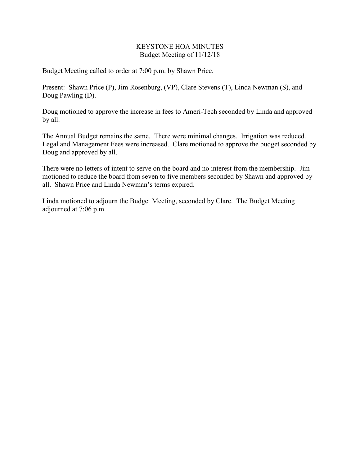### KEYSTONE HOA MINUTES Budget Meeting of 11/12/18

Budget Meeting called to order at 7:00 p.m. by Shawn Price.

Present: Shawn Price (P), Jim Rosenburg, (VP), Clare Stevens (T), Linda Newman (S), and Doug Pawling (D).

Doug motioned to approve the increase in fees to Ameri-Tech seconded by Linda and approved by all.

The Annual Budget remains the same. There were minimal changes. Irrigation was reduced. Legal and Management Fees were increased. Clare motioned to approve the budget seconded by Doug and approved by all.

There were no letters of intent to serve on the board and no interest from the membership. Jim motioned to reduce the board from seven to five members seconded by Shawn and approved by all. Shawn Price and Linda Newman's terms expired.

Linda motioned to adjourn the Budget Meeting, seconded by Clare. The Budget Meeting adjourned at 7:06 p.m.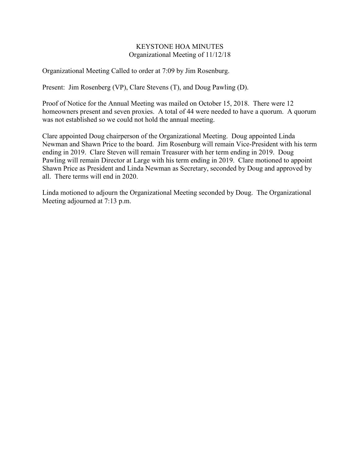### KEYSTONE HOA MINUTES Organizational Meeting of 11/12/18

Organizational Meeting Called to order at 7:09 by Jim Rosenburg.

Present: Jim Rosenberg (VP), Clare Stevens (T), and Doug Pawling (D).

Proof of Notice for the Annual Meeting was mailed on October 15, 2018. There were 12 homeowners present and seven proxies. A total of 44 were needed to have a quorum. A quorum was not established so we could not hold the annual meeting.

Clare appointed Doug chairperson of the Organizational Meeting. Doug appointed Linda Newman and Shawn Price to the board. Jim Rosenburg will remain Vice-President with his term ending in 2019. Clare Steven will remain Treasurer with her term ending in 2019. Doug Pawling will remain Director at Large with his term ending in 2019. Clare motioned to appoint Shawn Price as President and Linda Newman as Secretary, seconded by Doug and approved by all. There terms will end in 2020.

Linda motioned to adjourn the Organizational Meeting seconded by Doug. The Organizational Meeting adjourned at 7:13 p.m.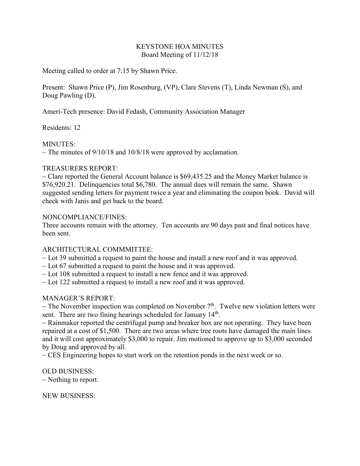## KEYSTONE HOA MINUTES Board Meeting of 11/12/18

Meeting called to order at 7:15 by Shawn Price.

Present: Shawn Price (P), Jim Rosenburg, (VP), Clare Stevens (T), Linda Newman (S), and Doug Pawling (D).

Ameri-Tech presence: David Fedash, Community Association Manager

Residents: 12

MINUTES:

 $\sim$  The minutes of 9/10/18 and 10/8/18 were approved by acclamation.

### TREASURERS REPORT:

 $\sim$  Clare reported the General Account balance is \$69,435.25 and the Money Market balance is \$76,920.21. Delinquencies total \$6,780. The annual dues will remain the same. Shawn suggested sending letters for payment twice a year and eliminating the coupon book. David will check with Janis and get back to the board.

### NONCOMPLIANCE/FINES:

Three accounts remain with the attorney. Ten accounts are 90 days past and final notices have been sent.

# ARCHITECTURAL COMMMITTEE:

- $\sim$  Lot 39 submitted a request to paint the house and install a new roof and it was approved.
- $\sim$  Lot 67 submitted a request to paint the house and it was approved.
- $\sim$  Lot 108 submitted a request to install a new fence and it was approved.
- $\sim$  Lot 122 submitted a request to install a new roof and it was approved.

# MANAGER'S REPORT:

 $\sim$  The November inspection was completed on November  $7<sup>th</sup>$ . Twelve new violation letters were sent. There are two fining hearings scheduled for January 14<sup>th</sup>.

 $\sim$  Rainmaker reported the centrifugal pump and breaker box are not operating. They have been repaired at a cost of \$1,500. There are two areas where tree roots have damaged the main lines and it will cost approximately \$3,000 to repair. Jim motioned to approve up to \$3,000 seconded by Doug and approved by all.

 $\sim$  CES Engineering hopes to start work on the retention ponds in the next week or so.

OLD BUSINESS:

 $\sim$  Nothing to report.

NEW BUSINESS: